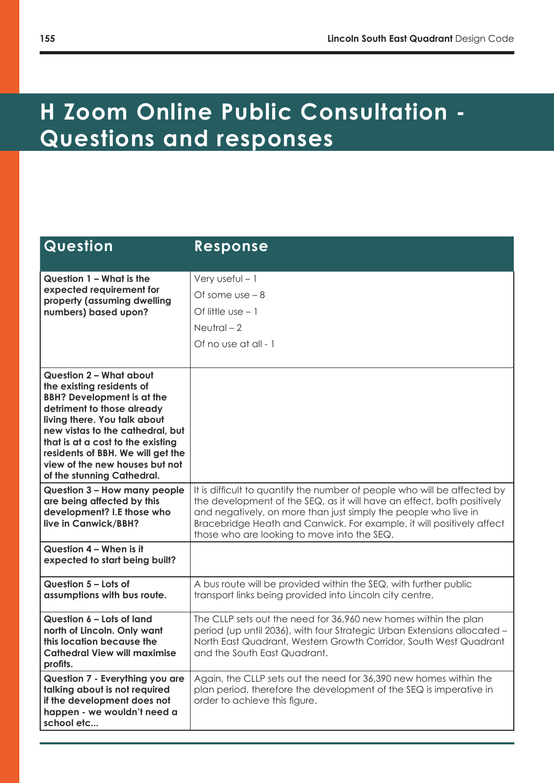## **H Zoom Online Public Consultation - Questions and responses**

| <b>Question</b>                                                                                                                                                                                                                                                                                            | <b>Response</b>                                                                                                                                                                                                                                                                                                                               |
|------------------------------------------------------------------------------------------------------------------------------------------------------------------------------------------------------------------------------------------------------------------------------------------------------------|-----------------------------------------------------------------------------------------------------------------------------------------------------------------------------------------------------------------------------------------------------------------------------------------------------------------------------------------------|
| Question 1 - What is the<br>expected requirement for<br>property (assuming dwelling<br>numbers) based upon?                                                                                                                                                                                                | Very useful $-1$<br>Of some $use - 8$                                                                                                                                                                                                                                                                                                         |
|                                                                                                                                                                                                                                                                                                            | Of little $use - 1$<br>Neutral $-2$<br>Of no use at all - 1                                                                                                                                                                                                                                                                                   |
| Question 2 - What about                                                                                                                                                                                                                                                                                    |                                                                                                                                                                                                                                                                                                                                               |
| the existing residents of<br><b>BBH? Development is at the</b><br>detriment to those already<br>living there. You talk about<br>new vistas to the cathedral, but<br>that is at a cost to the existing<br>residents of BBH. We will get the<br>view of the new houses but not<br>of the stunning Cathedral. |                                                                                                                                                                                                                                                                                                                                               |
| Question 3 - How many people<br>are being affected by this<br>development? I.E those who<br>live in Canwick/BBH?                                                                                                                                                                                           | It is difficult to quantify the number of people who will be affected by<br>the development of the SEQ, as it will have an effect, both positively<br>and negatively, on more than just simply the people who live in<br>Bracebridge Heath and Canwick. For example, it will positively affect<br>those who are looking to move into the SEQ. |
| Question 4 - When is it<br>expected to start being built?                                                                                                                                                                                                                                                  |                                                                                                                                                                                                                                                                                                                                               |
| Question 5 - Lots of<br>assumptions with bus route.                                                                                                                                                                                                                                                        | A bus route will be provided within the SEQ, with further public<br>transport links being provided into Lincoln city centre.                                                                                                                                                                                                                  |
| Question 6 - Lots of land<br>north of Lincoln. Only want<br>this location because the<br><b>Cathedral View will maximise</b><br>profits.                                                                                                                                                                   | The CLLP sets out the need for 36,960 new homes within the plan<br>period (up until 2036), with four Strategic Urban Extensions allocated -<br>North East Quadrant, Western Growth Corridor, South West Quadrant<br>and the South East Quadrant.                                                                                              |
| Question 7 - Everything you are<br>talking about is not required<br>if the development does not<br>happen - we wouldn't need a<br>school etc                                                                                                                                                               | Again, the CLLP sets out the need for 36,390 new homes within the<br>plan period, therefore the development of the SEQ is imperative in<br>order to achieve this figure.                                                                                                                                                                      |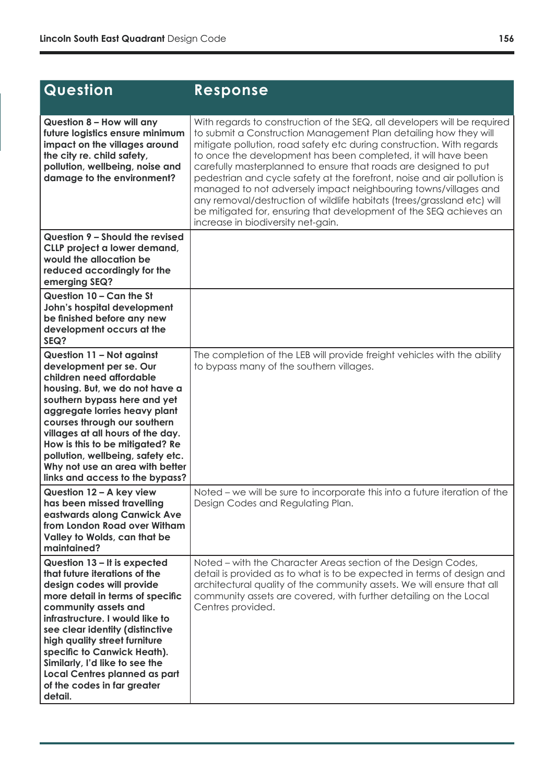| Question                                                                                                                                                                                                                                                                                                                                                                                                  | Response                                                                                                                                                                                                                                                                                                                                                                                                                                                                                                                                                                                                                                                                                         |
|-----------------------------------------------------------------------------------------------------------------------------------------------------------------------------------------------------------------------------------------------------------------------------------------------------------------------------------------------------------------------------------------------------------|--------------------------------------------------------------------------------------------------------------------------------------------------------------------------------------------------------------------------------------------------------------------------------------------------------------------------------------------------------------------------------------------------------------------------------------------------------------------------------------------------------------------------------------------------------------------------------------------------------------------------------------------------------------------------------------------------|
| Question 8 - How will any<br>future logistics ensure minimum<br>impact on the villages around<br>the city re. child safety,<br>pollution, wellbeing, noise and<br>damage to the environment?                                                                                                                                                                                                              | With regards to construction of the SEQ, all developers will be required<br>to submit a Construction Management Plan detailing how they will<br>mitigate pollution, road safety etc during construction. With regards<br>to once the development has been completed, it will have been<br>carefully masterplanned to ensure that roads are designed to put<br>pedestrian and cycle safety at the forefront, noise and air pollution is<br>managed to not adversely impact neighbouring towns/villages and<br>any removal/destruction of wildlife habitats (trees/grassland etc) will<br>be mitigated for, ensuring that development of the SEQ achieves an<br>increase in biodiversity net-gain. |
| Question 9 - Should the revised<br>CLLP project a lower demand,<br>would the allocation be<br>reduced accordingly for the<br>emerging SEQ?                                                                                                                                                                                                                                                                |                                                                                                                                                                                                                                                                                                                                                                                                                                                                                                                                                                                                                                                                                                  |
| Question 10 - Can the St<br>John's hospital development<br>be finished before any new<br>development occurs at the<br>SEQ?                                                                                                                                                                                                                                                                                |                                                                                                                                                                                                                                                                                                                                                                                                                                                                                                                                                                                                                                                                                                  |
| Question 11 - Not against<br>development per se. Our<br>children need affordable<br>housing. But, we do not have a<br>southern bypass here and yet<br>aggregate lorries heavy plant<br>courses through our southern<br>villages at all hours of the day.<br>How is this to be mitigated? Re<br>pollution, wellbeing, safety etc.<br>Why not use an area with better<br>links and access to the bypass?    | The completion of the LEB will provide freight vehicles with the ability<br>to bypass many of the southern villages.                                                                                                                                                                                                                                                                                                                                                                                                                                                                                                                                                                             |
| Question 12 - A key view<br>has been missed travelling<br>eastwards along Canwick Ave<br>from London Road over Witham<br>Valley to Wolds, can that be<br>maintained?                                                                                                                                                                                                                                      | Noted – we will be sure to incorporate this into a future iteration of the<br>Design Codes and Regulating Plan.                                                                                                                                                                                                                                                                                                                                                                                                                                                                                                                                                                                  |
| Question 13 - It is expected<br>that future iterations of the<br>design codes will provide<br>more detail in terms of specific<br>community assets and<br>infrastructure. I would like to<br>see clear identity (distinctive<br>high quality street furniture<br>specific to Canwick Heath).<br>Similarly, I'd like to see the<br>Local Centres planned as part<br>of the codes in far greater<br>detail. | Noted – with the Character Areas section of the Design Codes,<br>detail is provided as to what is to be expected in terms of design and<br>architectural quality of the community assets. We will ensure that all<br>community assets are covered, with further detailing on the Local<br>Centres provided.                                                                                                                                                                                                                                                                                                                                                                                      |